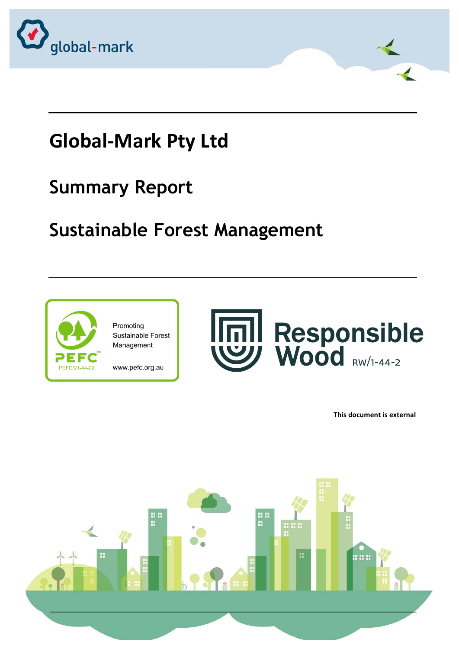

# **Global-Mark Pty Ltd**

### **Summary Report**

## **Sustainable Forest Management**



Promoting Sustainable Forest Management

www.pefc.org.au



**This document is external** 

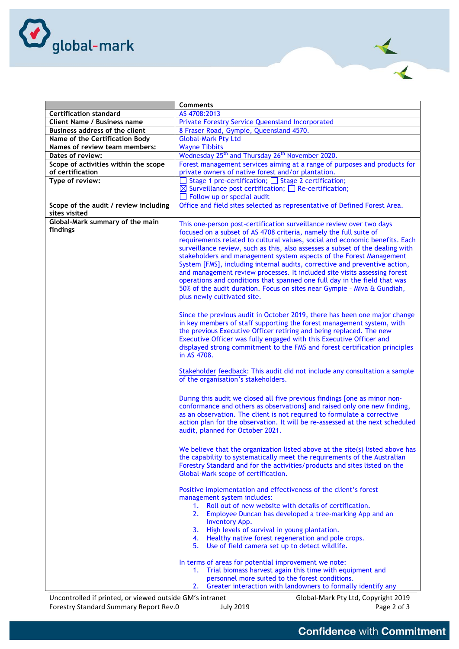